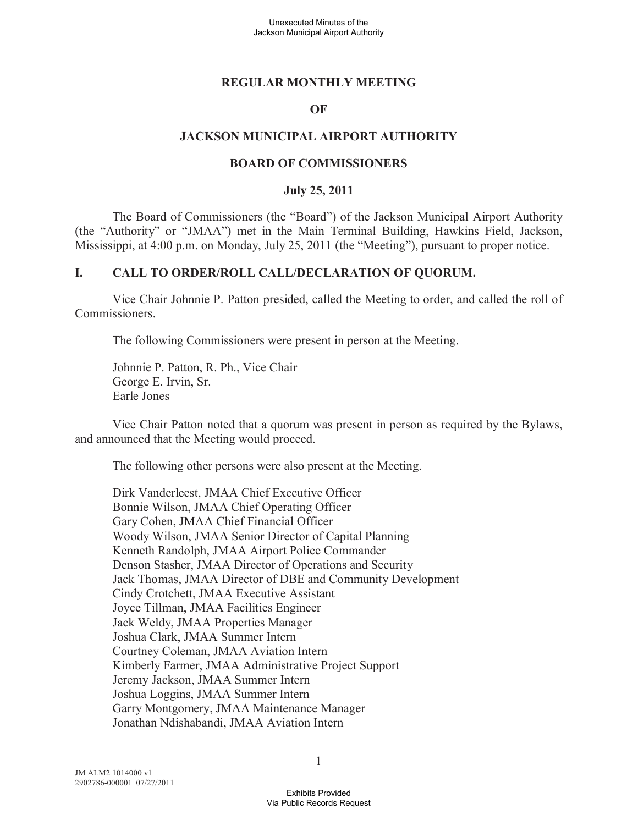#### **REGULAR MONTHLY MEETING**

#### **OF**

### **JACKSON MUNICIPAL AIRPORT AUTHORITY**

#### **BOARD OF COMMISSIONERS**

#### **July 25, 2011**

The Board of Commissioners (the "Board") of the Jackson Municipal Airport Authority (the "Authority" or "JMAA") met in the Main Terminal Building, Hawkins Field, Jackson, Mississippi, at 4:00 p.m. on Monday, July 25, 2011 (the "Meeting"), pursuant to proper notice.

#### **I. CALL TO ORDER/ROLL CALL/DECLARATION OF QUORUM.**

Vice Chair Johnnie P. Patton presided, called the Meeting to order, and called the roll of Commissioners.

The following Commissioners were present in person at the Meeting.

Johnnie P. Patton, R. Ph., Vice Chair George E. Irvin, Sr. Earle Jones

Vice Chair Patton noted that a quorum was present in person as required by the Bylaws, and announced that the Meeting would proceed.

The following other persons were also present at the Meeting.

Dirk Vanderleest, JMAA Chief Executive Officer Bonnie Wilson, JMAA Chief Operating Officer Gary Cohen, JMAA Chief Financial Officer Woody Wilson, JMAA Senior Director of Capital Planning Kenneth Randolph, JMAA Airport Police Commander Denson Stasher, JMAA Director of Operations and Security Jack Thomas, JMAA Director of DBE and Community Development Cindy Crotchett, JMAA Executive Assistant Joyce Tillman, JMAA Facilities Engineer Jack Weldy, JMAA Properties Manager Joshua Clark, JMAA Summer Intern Courtney Coleman, JMAA Aviation Intern Kimberly Farmer, JMAA Administrative Project Support Jeremy Jackson, JMAA Summer Intern Joshua Loggins, JMAA Summer Intern Garry Montgomery, JMAA Maintenance Manager Jonathan Ndishabandi, JMAA Aviation Intern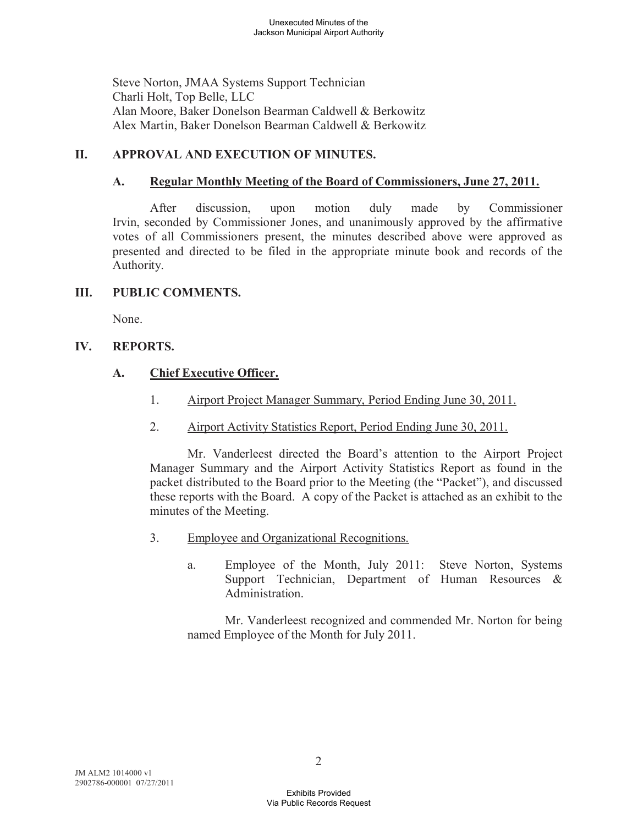Steve Norton, JMAA Systems Support Technician Charli Holt, Top Belle, LLC Alan Moore, Baker Donelson Bearman Caldwell & Berkowitz Alex Martin, Baker Donelson Bearman Caldwell & Berkowitz

## **II. APPROVAL AND EXECUTION OF MINUTES.**

## **A. Regular Monthly Meeting of the Board of Commissioners, June 27, 2011.**

After discussion, upon motion duly made by Commissioner Irvin, seconded by Commissioner Jones, and unanimously approved by the affirmative votes of all Commissioners present, the minutes described above were approved as presented and directed to be filed in the appropriate minute book and records of the Authority.

## **III. PUBLIC COMMENTS.**

None.

# **IV. REPORTS.**

# **A. Chief Executive Officer.**

- 1. Airport Project Manager Summary, Period Ending June 30, 2011.
- 2. Airport Activity Statistics Report, Period Ending June 30, 2011.

Mr. Vanderleest directed the Board's attention to the Airport Project Manager Summary and the Airport Activity Statistics Report as found in the packet distributed to the Board prior to the Meeting (the "Packet"), and discussed these reports with the Board. A copy of the Packet is attached as an exhibit to the minutes of the Meeting.

- 3. Employee and Organizational Recognitions.
	- a. Employee of the Month, July 2011: Steve Norton, Systems Support Technician, Department of Human Resources & Administration.

Mr. Vanderleest recognized and commended Mr. Norton for being named Employee of the Month for July 2011.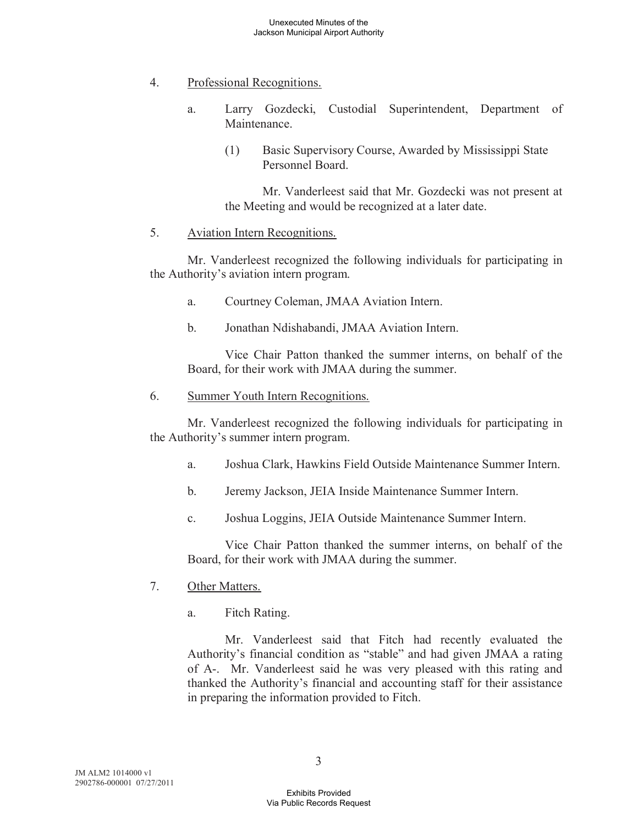### 4. Professional Recognitions.

- a. Larry Gozdecki, Custodial Superintendent, Department of Maintenance.
	- (1) Basic Supervisory Course, Awarded by Mississippi State Personnel Board.

Mr. Vanderleest said that Mr. Gozdecki was not present at the Meeting and would be recognized at a later date.

### 5. Aviation Intern Recognitions.

Mr. Vanderleest recognized the following individuals for participating in the Authority's aviation intern program.

- a. Courtney Coleman, JMAA Aviation Intern.
- b. Jonathan Ndishabandi, JMAA Aviation Intern.

Vice Chair Patton thanked the summer interns, on behalf of the Board, for their work with JMAA during the summer.

### 6. Summer Youth Intern Recognitions.

Mr. Vanderleest recognized the following individuals for participating in the Authority's summer intern program.

- a. Joshua Clark, Hawkins Field Outside Maintenance Summer Intern.
- b. Jeremy Jackson, JEIA Inside Maintenance Summer Intern.
- c. Joshua Loggins, JEIA Outside Maintenance Summer Intern.

Vice Chair Patton thanked the summer interns, on behalf of the Board, for their work with JMAA during the summer.

## 7. Other Matters.

a. Fitch Rating.

Mr. Vanderleest said that Fitch had recently evaluated the Authority's financial condition as "stable" and had given JMAA a rating of A-. Mr. Vanderleest said he was very pleased with this rating and thanked the Authority's financial and accounting staff for their assistance in preparing the information provided to Fitch.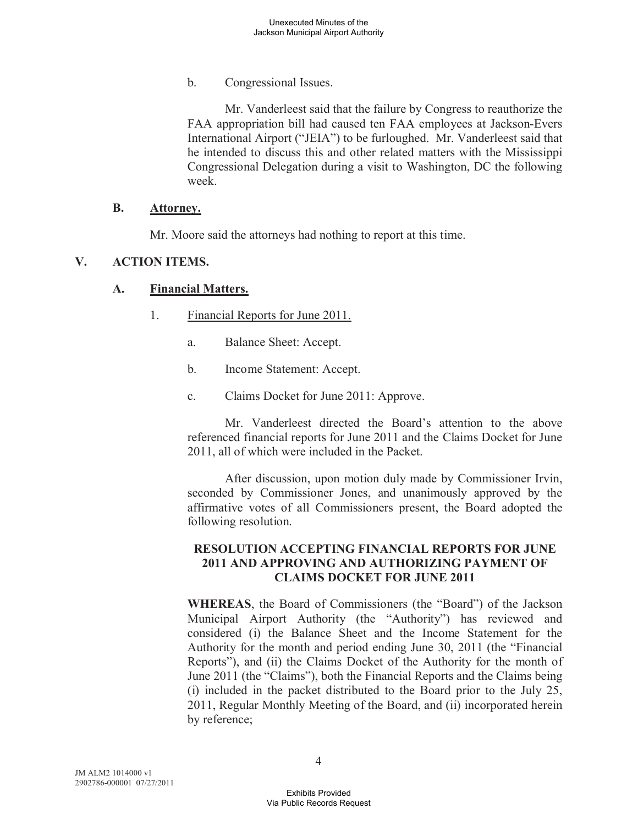b. Congressional Issues.

Mr. Vanderleest said that the failure by Congress to reauthorize the FAA appropriation bill had caused ten FAA employees at Jackson-Evers International Airport ("JEIA") to be furloughed. Mr. Vanderleest said that he intended to discuss this and other related matters with the Mississippi Congressional Delegation during a visit to Washington, DC the following week.

#### **B. Attorney.**

Mr. Moore said the attorneys had nothing to report at this time.

### **V. ACTION ITEMS.**

### **A. Financial Matters.**

- 1. Financial Reports for June 2011.
	- a. Balance Sheet: Accept.
	- b. Income Statement: Accept.
	- c. Claims Docket for June 2011: Approve.

Mr. Vanderleest directed the Board's attention to the above referenced financial reports for June 2011 and the Claims Docket for June 2011, all of which were included in the Packet.

After discussion, upon motion duly made by Commissioner Irvin, seconded by Commissioner Jones, and unanimously approved by the affirmative votes of all Commissioners present, the Board adopted the following resolution.

### **RESOLUTION ACCEPTING FINANCIAL REPORTS FOR JUNE 2011 AND APPROVING AND AUTHORIZING PAYMENT OF CLAIMS DOCKET FOR JUNE 2011**

**WHEREAS**, the Board of Commissioners (the "Board") of the Jackson Municipal Airport Authority (the "Authority") has reviewed and considered (i) the Balance Sheet and the Income Statement for the Authority for the month and period ending June 30, 2011 (the "Financial Reports"), and (ii) the Claims Docket of the Authority for the month of June 2011 (the "Claims"), both the Financial Reports and the Claims being (i) included in the packet distributed to the Board prior to the July 25, 2011, Regular Monthly Meeting of the Board, and (ii) incorporated herein by reference;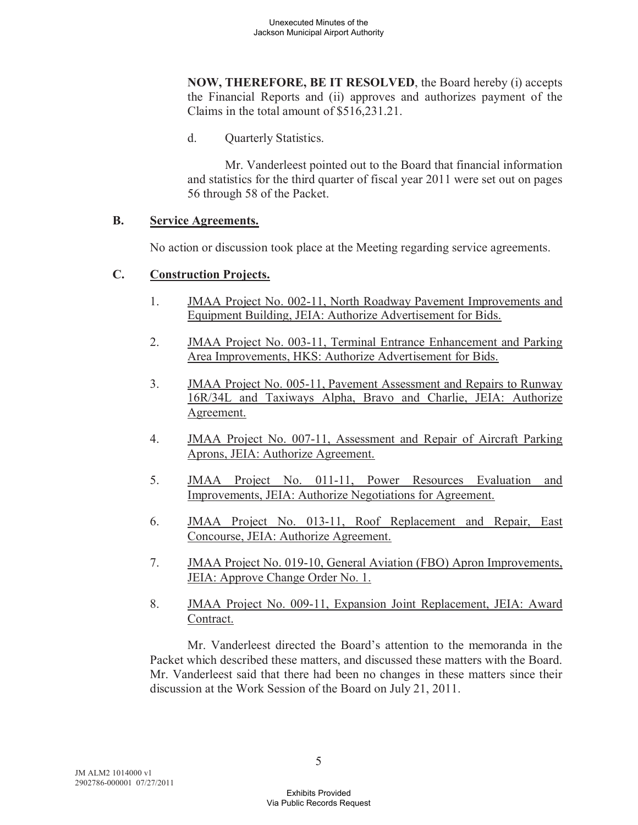**NOW, THEREFORE, BE IT RESOLVED**, the Board hereby (i) accepts the Financial Reports and (ii) approves and authorizes payment of the Claims in the total amount of \$516,231.21.

d. Quarterly Statistics.

Mr. Vanderleest pointed out to the Board that financial information and statistics for the third quarter of fiscal year 2011 were set out on pages 56 through 58 of the Packet.

### **B. Service Agreements.**

No action or discussion took place at the Meeting regarding service agreements.

## **C. Construction Projects.**

- 1. JMAA Project No. 002-11, North Roadway Pavement Improvements and Equipment Building, JEIA: Authorize Advertisement for Bids.
- 2. JMAA Project No. 003-11, Terminal Entrance Enhancement and Parking Area Improvements, HKS: Authorize Advertisement for Bids.
- 3. JMAA Project No. 005-11, Pavement Assessment and Repairs to Runway 16R/34L and Taxiways Alpha, Bravo and Charlie, JEIA: Authorize Agreement.
- 4. JMAA Project No. 007-11, Assessment and Repair of Aircraft Parking Aprons, JEIA: Authorize Agreement.
- 5. JMAA Project No. 011-11, Power Resources Evaluation and Improvements, JEIA: Authorize Negotiations for Agreement.
- 6. JMAA Project No. 013-11, Roof Replacement and Repair, East Concourse, JEIA: Authorize Agreement.
- 7. JMAA Project No. 019-10, General Aviation (FBO) Apron Improvements, JEIA: Approve Change Order No. 1.
- 8. JMAA Project No. 009-11, Expansion Joint Replacement, JEIA: Award Contract.

Mr. Vanderleest directed the Board's attention to the memoranda in the Packet which described these matters, and discussed these matters with the Board. Mr. Vanderleest said that there had been no changes in these matters since their discussion at the Work Session of the Board on July 21, 2011.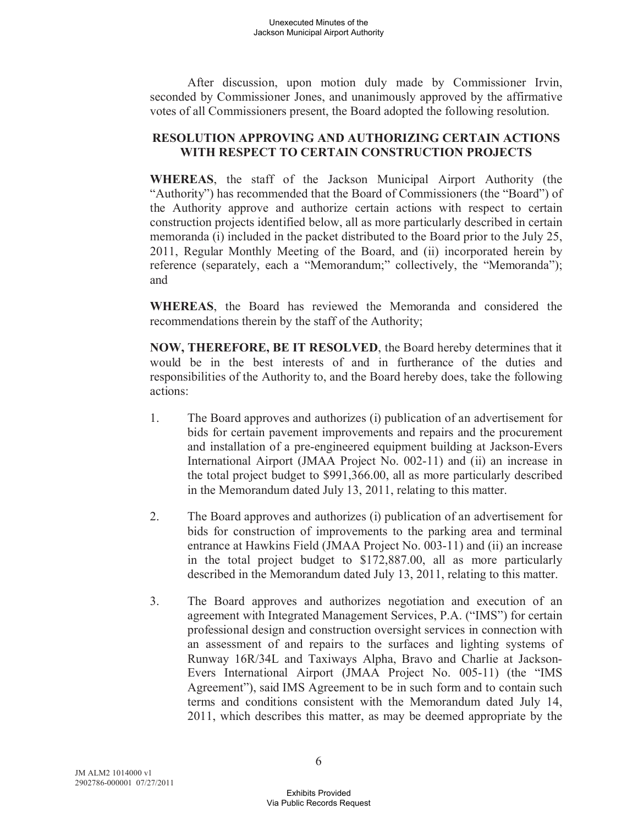After discussion, upon motion duly made by Commissioner Irvin, seconded by Commissioner Jones, and unanimously approved by the affirmative votes of all Commissioners present, the Board adopted the following resolution.

## **RESOLUTION APPROVING AND AUTHORIZING CERTAIN ACTIONS WITH RESPECT TO CERTAIN CONSTRUCTION PROJECTS**

**WHEREAS**, the staff of the Jackson Municipal Airport Authority (the "Authority") has recommended that the Board of Commissioners (the "Board") of the Authority approve and authorize certain actions with respect to certain construction projects identified below, all as more particularly described in certain memoranda (i) included in the packet distributed to the Board prior to the July 25, 2011, Regular Monthly Meeting of the Board, and (ii) incorporated herein by reference (separately, each a "Memorandum;" collectively, the "Memoranda"); and

**WHEREAS**, the Board has reviewed the Memoranda and considered the recommendations therein by the staff of the Authority;

**NOW, THEREFORE, BE IT RESOLVED**, the Board hereby determines that it would be in the best interests of and in furtherance of the duties and responsibilities of the Authority to, and the Board hereby does, take the following actions:

- 1. The Board approves and authorizes (i) publication of an advertisement for bids for certain pavement improvements and repairs and the procurement and installation of a pre-engineered equipment building at Jackson-Evers International Airport (JMAA Project No. 002-11) and (ii) an increase in the total project budget to \$991,366.00, all as more particularly described in the Memorandum dated July 13, 2011, relating to this matter.
- 2. The Board approves and authorizes (i) publication of an advertisement for bids for construction of improvements to the parking area and terminal entrance at Hawkins Field (JMAA Project No. 003-11) and (ii) an increase in the total project budget to \$172,887.00, all as more particularly described in the Memorandum dated July 13, 2011, relating to this matter.
- 3. The Board approves and authorizes negotiation and execution of an agreement with Integrated Management Services, P.A. ("IMS") for certain professional design and construction oversight services in connection with an assessment of and repairs to the surfaces and lighting systems of Runway 16R/34L and Taxiways Alpha, Bravo and Charlie at Jackson-Evers International Airport (JMAA Project No. 005-11) (the "IMS Agreement"), said IMS Agreement to be in such form and to contain such terms and conditions consistent with the Memorandum dated July 14, 2011, which describes this matter, as may be deemed appropriate by the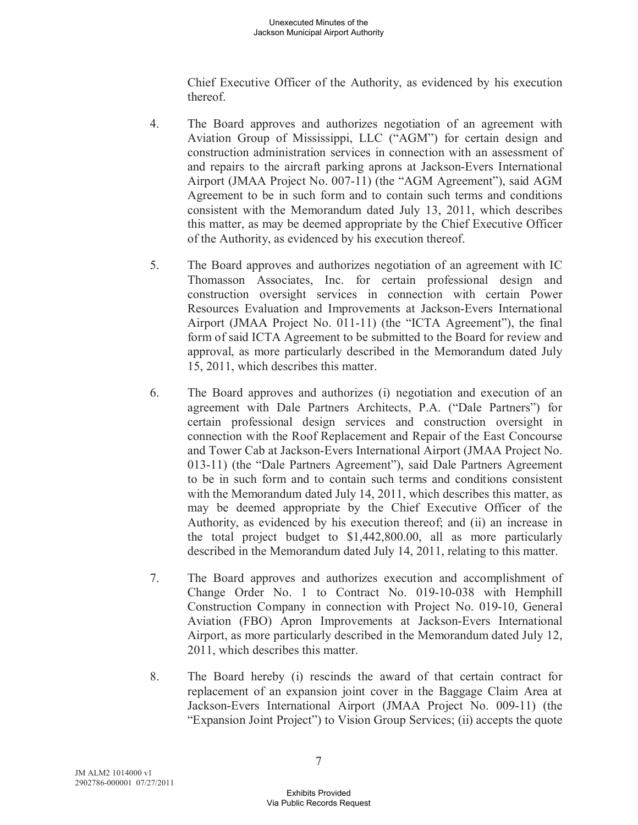Chief Executive Officer of the Authority, as evidenced by his execution thereof.

- 4. The Board approves and authorizes negotiation of an agreement with Aviation Group of Mississippi, LLC ("AGM") for certain design and construction administration services in connection with an assessment of and repairs to the aircraft parking aprons at Jackson-Evers International Airport (JMAA Project No. 007-11) (the "AGM Agreement"), said AGM Agreement to be in such form and to contain such terms and conditions consistent with the Memorandum dated July 13, 2011, which describes this matter, as may be deemed appropriate by the Chief Executive Officer of the Authority, as evidenced by his execution thereof.
- 5. The Board approves and authorizes negotiation of an agreement with IC Thomasson Associates, Inc. for certain professional design and construction oversight services in connection with certain Power Resources Evaluation and Improvements at Jackson-Evers International Airport (JMAA Project No. 011-11) (the "ICTA Agreement"), the final form of said ICTA Agreement to be submitted to the Board for review and approval, as more particularly described in the Memorandum dated July 15, 2011, which describes this matter.
- 6. The Board approves and authorizes (i) negotiation and execution of an agreement with Dale Partners Architects, P.A. ("Dale Partners") for certain professional design services and construction oversight in connection with the Roof Replacement and Repair of the East Concourse and Tower Cab at Jackson-Evers International Airport (JMAA Project No. 013-11) (the "Dale Partners Agreement"), said Dale Partners Agreement to be in such form and to contain such terms and conditions consistent with the Memorandum dated July 14, 2011, which describes this matter, as may be deemed appropriate by the Chief Executive Officer of the Authority, as evidenced by his execution thereof; and (ii) an increase in the total project budget to \$1,442,800.00, all as more particularly described in the Memorandum dated July 14, 2011, relating to this matter.
- 7. The Board approves and authorizes execution and accomplishment of Change Order No. 1 to Contract No. 019-10-038 with Hemphill Construction Company in connection with Project No. 019-10, General Aviation (FBO) Apron Improvements at Jackson-Evers International Airport, as more particularly described in the Memorandum dated July 12, 2011, which describes this matter.
- 8. The Board hereby (i) rescinds the award of that certain contract for replacement of an expansion joint cover in the Baggage Claim Area at Jackson-Evers International Airport (JMAA Project No. 009-11) (the "Expansion Joint Project") to Vision Group Services; (ii) accepts the quote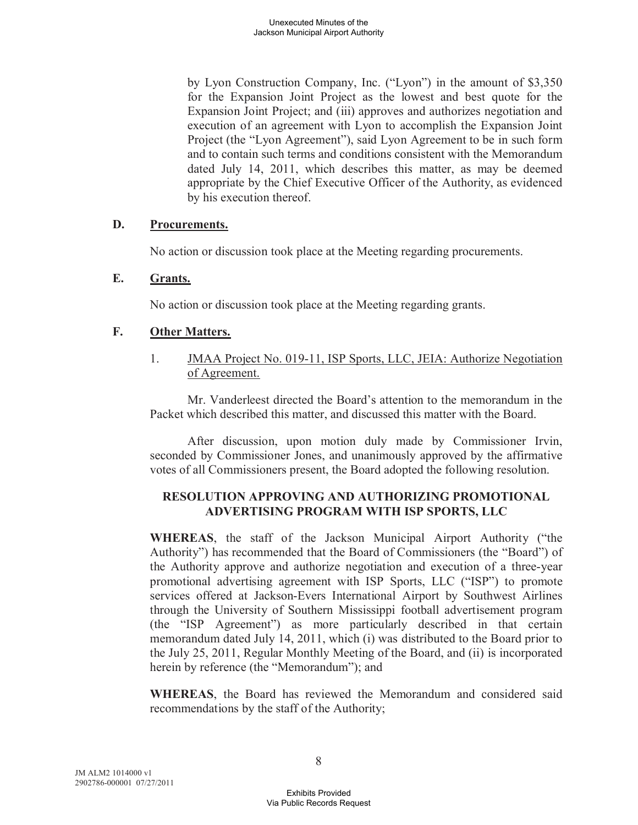by Lyon Construction Company, Inc. ("Lyon") in the amount of \$3,350 for the Expansion Joint Project as the lowest and best quote for the Expansion Joint Project; and (iii) approves and authorizes negotiation and execution of an agreement with Lyon to accomplish the Expansion Joint Project (the "Lyon Agreement"), said Lyon Agreement to be in such form and to contain such terms and conditions consistent with the Memorandum dated July 14, 2011, which describes this matter, as may be deemed appropriate by the Chief Executive Officer of the Authority, as evidenced by his execution thereof.

## **D. Procurements.**

No action or discussion took place at the Meeting regarding procurements.

### **E. Grants.**

No action or discussion took place at the Meeting regarding grants.

### **F. Other Matters.**

1. JMAA Project No. 019-11, ISP Sports, LLC, JEIA: Authorize Negotiation of Agreement.

Mr. Vanderleest directed the Board's attention to the memorandum in the Packet which described this matter, and discussed this matter with the Board.

After discussion, upon motion duly made by Commissioner Irvin, seconded by Commissioner Jones, and unanimously approved by the affirmative votes of all Commissioners present, the Board adopted the following resolution.

## **RESOLUTION APPROVING AND AUTHORIZING PROMOTIONAL ADVERTISING PROGRAM WITH ISP SPORTS, LLC**

**WHEREAS**, the staff of the Jackson Municipal Airport Authority ("the Authority") has recommended that the Board of Commissioners (the "Board") of the Authority approve and authorize negotiation and execution of a three-year promotional advertising agreement with ISP Sports, LLC ("ISP") to promote services offered at Jackson-Evers International Airport by Southwest Airlines through the University of Southern Mississippi football advertisement program (the "ISP Agreement") as more particularly described in that certain memorandum dated July 14, 2011, which (i) was distributed to the Board prior to the July 25, 2011, Regular Monthly Meeting of the Board, and (ii) is incorporated herein by reference (the "Memorandum"); and

**WHEREAS**, the Board has reviewed the Memorandum and considered said recommendations by the staff of the Authority;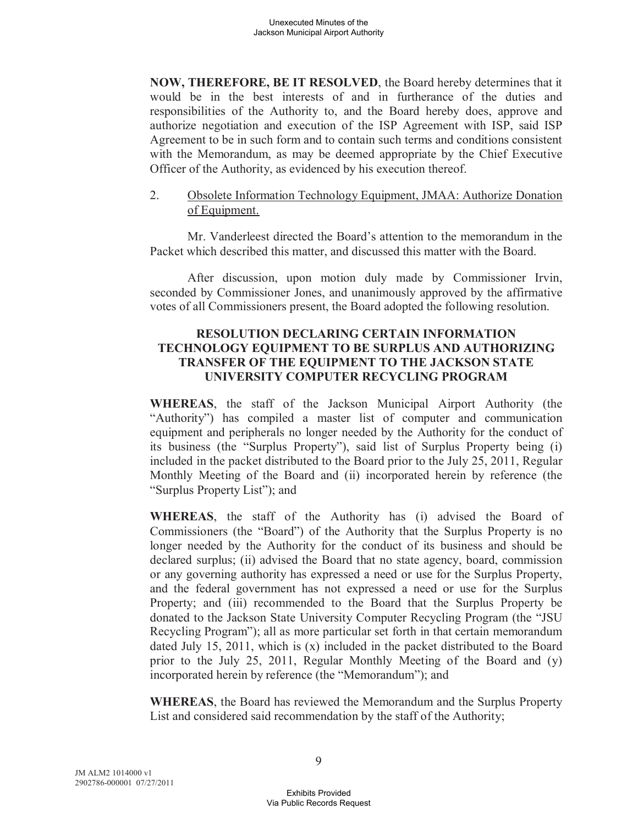**NOW, THEREFORE, BE IT RESOLVED**, the Board hereby determines that it would be in the best interests of and in furtherance of the duties and responsibilities of the Authority to, and the Board hereby does, approve and authorize negotiation and execution of the ISP Agreement with ISP, said ISP Agreement to be in such form and to contain such terms and conditions consistent with the Memorandum, as may be deemed appropriate by the Chief Executive Officer of the Authority, as evidenced by his execution thereof.

2. Obsolete Information Technology Equipment, JMAA: Authorize Donation of Equipment.

Mr. Vanderleest directed the Board's attention to the memorandum in the Packet which described this matter, and discussed this matter with the Board.

After discussion, upon motion duly made by Commissioner Irvin, seconded by Commissioner Jones, and unanimously approved by the affirmative votes of all Commissioners present, the Board adopted the following resolution.

### **RESOLUTION DECLARING CERTAIN INFORMATION TECHNOLOGY EQUIPMENT TO BE SURPLUS AND AUTHORIZING TRANSFER OF THE EQUIPMENT TO THE JACKSON STATE UNIVERSITY COMPUTER RECYCLING PROGRAM**

**WHEREAS**, the staff of the Jackson Municipal Airport Authority (the "Authority") has compiled a master list of computer and communication equipment and peripherals no longer needed by the Authority for the conduct of its business (the "Surplus Property"), said list of Surplus Property being (i) included in the packet distributed to the Board prior to the July 25, 2011, Regular Monthly Meeting of the Board and (ii) incorporated herein by reference (the "Surplus Property List"); and

**WHEREAS**, the staff of the Authority has (i) advised the Board of Commissioners (the "Board") of the Authority that the Surplus Property is no longer needed by the Authority for the conduct of its business and should be declared surplus; (ii) advised the Board that no state agency, board, commission or any governing authority has expressed a need or use for the Surplus Property, and the federal government has not expressed a need or use for the Surplus Property; and (iii) recommended to the Board that the Surplus Property be donated to the Jackson State University Computer Recycling Program (the "JSU Recycling Program"); all as more particular set forth in that certain memorandum dated July 15, 2011, which is (x) included in the packet distributed to the Board prior to the July 25, 2011, Regular Monthly Meeting of the Board and (y) incorporated herein by reference (the "Memorandum"); and

**WHEREAS**, the Board has reviewed the Memorandum and the Surplus Property List and considered said recommendation by the staff of the Authority;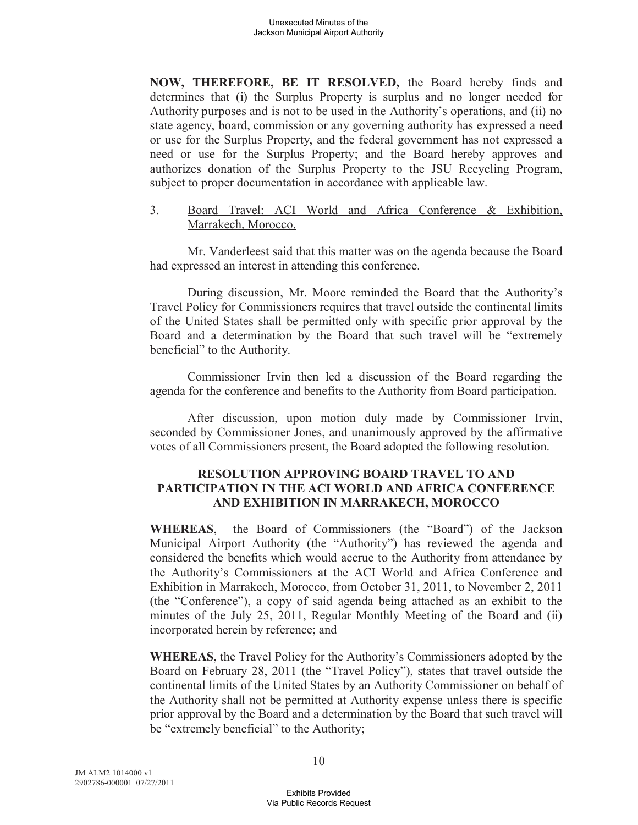**NOW, THEREFORE, BE IT RESOLVED,** the Board hereby finds and determines that (i) the Surplus Property is surplus and no longer needed for Authority purposes and is not to be used in the Authority's operations, and (ii) no state agency, board, commission or any governing authority has expressed a need or use for the Surplus Property, and the federal government has not expressed a need or use for the Surplus Property; and the Board hereby approves and authorizes donation of the Surplus Property to the JSU Recycling Program, subject to proper documentation in accordance with applicable law.

3. Board Travel: ACI World and Africa Conference & Exhibition, Marrakech, Morocco.

Mr. Vanderleest said that this matter was on the agenda because the Board had expressed an interest in attending this conference.

During discussion, Mr. Moore reminded the Board that the Authority's Travel Policy for Commissioners requires that travel outside the continental limits of the United States shall be permitted only with specific prior approval by the Board and a determination by the Board that such travel will be "extremely beneficial" to the Authority.

Commissioner Irvin then led a discussion of the Board regarding the agenda for the conference and benefits to the Authority from Board participation.

After discussion, upon motion duly made by Commissioner Irvin, seconded by Commissioner Jones, and unanimously approved by the affirmative votes of all Commissioners present, the Board adopted the following resolution.

### **RESOLUTION APPROVING BOARD TRAVEL TO AND PARTICIPATION IN THE ACI WORLD AND AFRICA CONFERENCE AND EXHIBITION IN MARRAKECH, MOROCCO**

**WHEREAS**, the Board of Commissioners (the "Board") of the Jackson Municipal Airport Authority (the "Authority") has reviewed the agenda and considered the benefits which would accrue to the Authority from attendance by the Authority's Commissioners at the ACI World and Africa Conference and Exhibition in Marrakech, Morocco, from October 31, 2011, to November 2, 2011 (the "Conference"), a copy of said agenda being attached as an exhibit to the minutes of the July 25, 2011, Regular Monthly Meeting of the Board and (ii) incorporated herein by reference; and

**WHEREAS**, the Travel Policy for the Authority's Commissioners adopted by the Board on February 28, 2011 (the "Travel Policy"), states that travel outside the continental limits of the United States by an Authority Commissioner on behalf of the Authority shall not be permitted at Authority expense unless there is specific prior approval by the Board and a determination by the Board that such travel will be "extremely beneficial" to the Authority;